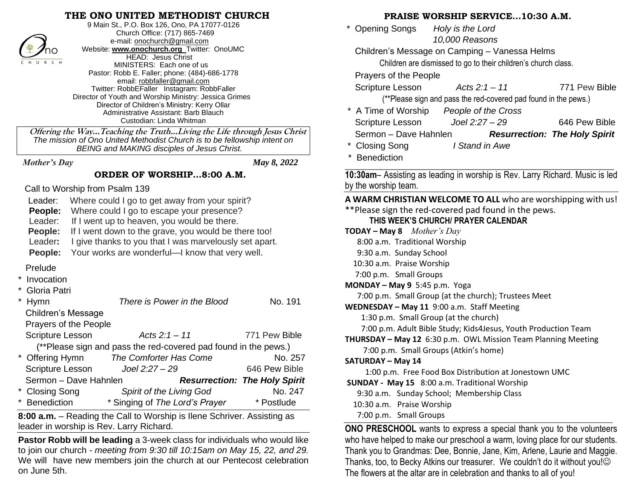## **THE ONO UNITED METHODIST CHURCH**



9 Main St., P.O. Box 126, Ono, PA 17077-0126 Church Office: (717) 865-7469 e-mail[: onochurch@gmail.com](mailto:onochurch@gmail.com) Website: **[www.onochurch.org](http://www.onochurch.org/)** Twitter: OnoUMC HEAD: Jesus Christ MINISTERS: Each one of us Pastor: Robb E. Faller; phone: (484)-686-1778 email: [robbfaller@gmail.com](mailto:robbfaller@gmail.com) Twitter: RobbEFaller Instagram: RobbFaller Director of Youth and Worship Ministry: Jessica Grimes Director of Children's Ministry: Kerry Ollar Administrative Assistant: Barb Blauch Custodian: Linda Whitman

### **ORDER OF WORSHIP…8:00 A.M.**

| $\n  n$<br>website: www.onocnurcn.org I witter: OnoUMC<br>HEAD: Jesus Christ<br>C H U R C H<br>MINISTERS: Each one of us<br>Pastor: Robb E. Faller; phone: (484)-686-1778<br>email: robbfaller@gmail.com<br>Twitter: RobbEFaller Instagram: RobbFaller<br>Director of Youth and Worship Ministry: Jessica Grimes<br>Director of Children's Ministry: Kerry Ollar<br>Administrative Assistant: Barb Blauch<br>Custodian: Linda Whitman<br>Offering the Way Teaching the Truth Living the Life through Jesus Christ<br>The mission of Ono United Methodist Church is to be fellowship intent on<br>BEING and MAKING disciples of Jesus Christ.                       | Children's Message on Camping – Vanessa Helms<br>Children are dismissed to go to their children's church class.<br>Prayers of the People<br>771<br>Scripture Lesson<br>Acts $2:1 - 11$<br>(**Please sign and pass the red-covered pad found in the po-<br>* A Time of Worship<br>People of the Cross<br>Scripture Lesson<br>Joel 2:27 - 29<br>646<br>Sermon - Dave Hahnlen<br><b>Resurrection: The F</b><br><b>Closing Song</b><br>I Stand in Awe<br><b>Benediction</b>                                                                                                                                             |
|--------------------------------------------------------------------------------------------------------------------------------------------------------------------------------------------------------------------------------------------------------------------------------------------------------------------------------------------------------------------------------------------------------------------------------------------------------------------------------------------------------------------------------------------------------------------------------------------------------------------------------------------------------------------|---------------------------------------------------------------------------------------------------------------------------------------------------------------------------------------------------------------------------------------------------------------------------------------------------------------------------------------------------------------------------------------------------------------------------------------------------------------------------------------------------------------------------------------------------------------------------------------------------------------------|
| <b>Mother's Day</b><br>May 8, 2022<br>ORDER OF WORSHIP8:00 A.M.                                                                                                                                                                                                                                                                                                                                                                                                                                                                                                                                                                                                    | 10:30am- Assisting as leading in worship is Rev. Larry Richard.                                                                                                                                                                                                                                                                                                                                                                                                                                                                                                                                                     |
| Call to Worship from Psalm 139<br>Where could I go to get away from your spirit?<br>Leader:<br>Where could I go to escape your presence?<br>People:<br>Leader:<br>If I went up to heaven, you would be there.<br>People:<br>If I went down to the grave, you would be there too!<br>Leader:<br>I give thanks to you that I was marvelously set apart.<br>Your works are wonderful-I know that very well.<br>People:                                                                                                                                                                                                                                                | by the worship team.<br>A WARM CHRISTIAN WELCOME TO ALL who are worshippi<br>** Please sign the red-covered pad found in the pews.<br>THIS WEEK'S CHURCH/ PRAYER CALENDAR<br><b>TODAY – May 8</b> <i>Mother's Day</i><br>8:00 a.m. Traditional Worship<br>9:30 a.m. Sunday School<br>10:30 a.m. Praise Worship                                                                                                                                                                                                                                                                                                      |
| Prelude<br>* Invocation<br>Gloria Patri<br>No. 191<br>Hymn<br>There is Power in the Blood<br>Children's Message<br>Prayers of the People<br>Scripture Lesson<br>Acts $2:1 - 11$<br>771 Pew Bible<br>(**Please sign and pass the red-covered pad found in the pews.)<br>* Offering Hymn<br>The Comforter Has Come<br>No. 257<br>Joel 2:27 - 29<br>646 Pew Bible<br>Scripture Lesson<br>Sermon - Dave Hahnlen<br><b>Resurrection: The Holy Spirit</b><br><b>Closing Song</b><br>No. 247<br>Spirit of the Living God<br><b>Benediction</b><br>* Singing of The Lord's Prayer<br>* Postlude<br>8:00 a.m. – Reading the Call to Worship is Ilene Schriver. Assisting as | 7:00 p.m. Small Groups<br>MONDAY - May 9 5:45 p.m. Yoga<br>7:00 p.m. Small Group (at the church); Trustees Meet<br>WEDNESDAY - May 11 9:00 a.m. Staff Meeting<br>1:30 p.m. Small Group (at the church)<br>7:00 p.m. Adult Bible Study; Kids4Jesus, Youth Production T<br>THURSDAY - May 12 6:30 p.m. OWL Mission Team Planning M<br>7:00 p.m. Small Groups (Atkin's home)<br><b>SATURDAY - May 14</b><br>1:00 p.m. Free Food Box Distribution at Jonestown UMC<br>SUNDAY - May 15 8:00 a.m. Traditional Worship<br>9:30 a.m. Sunday School; Membership Class<br>10:30 a.m. Praise Worship<br>7:00 p.m. Small Groups |
| leader in worship is Rev. Larry Richard.<br>Pastor Robb will be leading a 3-week class for individuals who would like<br>to join our church - meeting from 9:30 till 10:15am on May 15, 22, and 29.<br>We will have new members join the church at our Pentecost celebration<br>on June 5th.                                                                                                                                                                                                                                                                                                                                                                       | <b>ONO PRESCHOOL</b> wants to express a special thank you to the<br>who have helped to make our preschool a warm, loving place for only<br>Thank you to Grandmas: Dee, Bonnie, Jane, Kim, Arlene, Laurie<br>Thanks, too, to Becky Atkins our treasurer. We couldn't do it with<br>The flowers at the altar are in celebration and thanks to all of you!                                                                                                                                                                                                                                                             |

### **PRAISE WORSHIP SERVICE…10:30 A.M.**

 \* Opening Songs *Holy is the Lord 10,000 Reasons* 

Children's Message on Camping – Vanessa Helms

Scripture Lesson *Acts 2:1 – 11* 771 Pew Bible

(\*\*Please sign and pass the red-covered pad found in the pews.)

\* A Time of Worship *People of the Cross* Scripture Lesson *Joel 2:27 – 29* 646 Pew Bible Sermon – Dave Hahnlen *Resurrection: The Holy Spirit* 

**Benediction \_\_\_\_\_\_\_\_\_\_\_\_\_\_\_\_\_\_\_\_\_\_\_\_\_\_\_\_\_\_\_\_\_\_\_\_\_\_\_\_\_\_\_\_\_\_\_\_\_\_\_\_\_\_\_\_\_\_\_\_\_**

**10:30am**– Assisting as leading in worship is Rev. Larry Richard. Music is led by the worship team.

**A WARM CHRISTIAN WELCOME TO ALL** who are worshipping with us! \*\*Please sign the red-covered pad found in the pews.

### **THIS WEEK'S CHURCH/ PRAYER CALENDAR**

**TODAY – May 8** *Mother's Day* 8:00 a.m. Traditional Worship 9:30 a.m. Sunday School 10:30 a.m. Praise Worship 7:00 p.m. Small Groups **MONDAY – May 9** 5:45 p.m. Yoga 7:00 p.m. Small Group (at the church); Trustees Meet **WEDNESDAY – May 11** 9:00 a.m. Staff Meeting 1:30 p.m. Small Group (at the church) 7:00 p.m. Adult Bible Study; Kids4Jesus, Youth Production Team **THURSDAY – May 12** 6:30 p.m. OWL Mission Team Planning Meeting 7:00 p.m. Small Groups (Atkin's home) **SATURDAY – May 14** 1:00 p.m. Free Food Box Distribution at Jonestown UMC **SUNDAY - May 15** 8:00 a.m. Traditional Worship 9:30 a.m. Sunday School; Membership Class 10:30 a.m. Praise Worship 7:00 p.m. Small Groups **ONO PRESCHOOL** wants to express a special thank you to the volunteers

who have helped to make our preschool a warm, loving place for our students. Thank you to Grandmas: Dee, Bonnie, Jane, Kim, Arlene, Laurie and Maggie. Thanks, too, to Becky Atkins our treasurer. We couldn't do it without you!